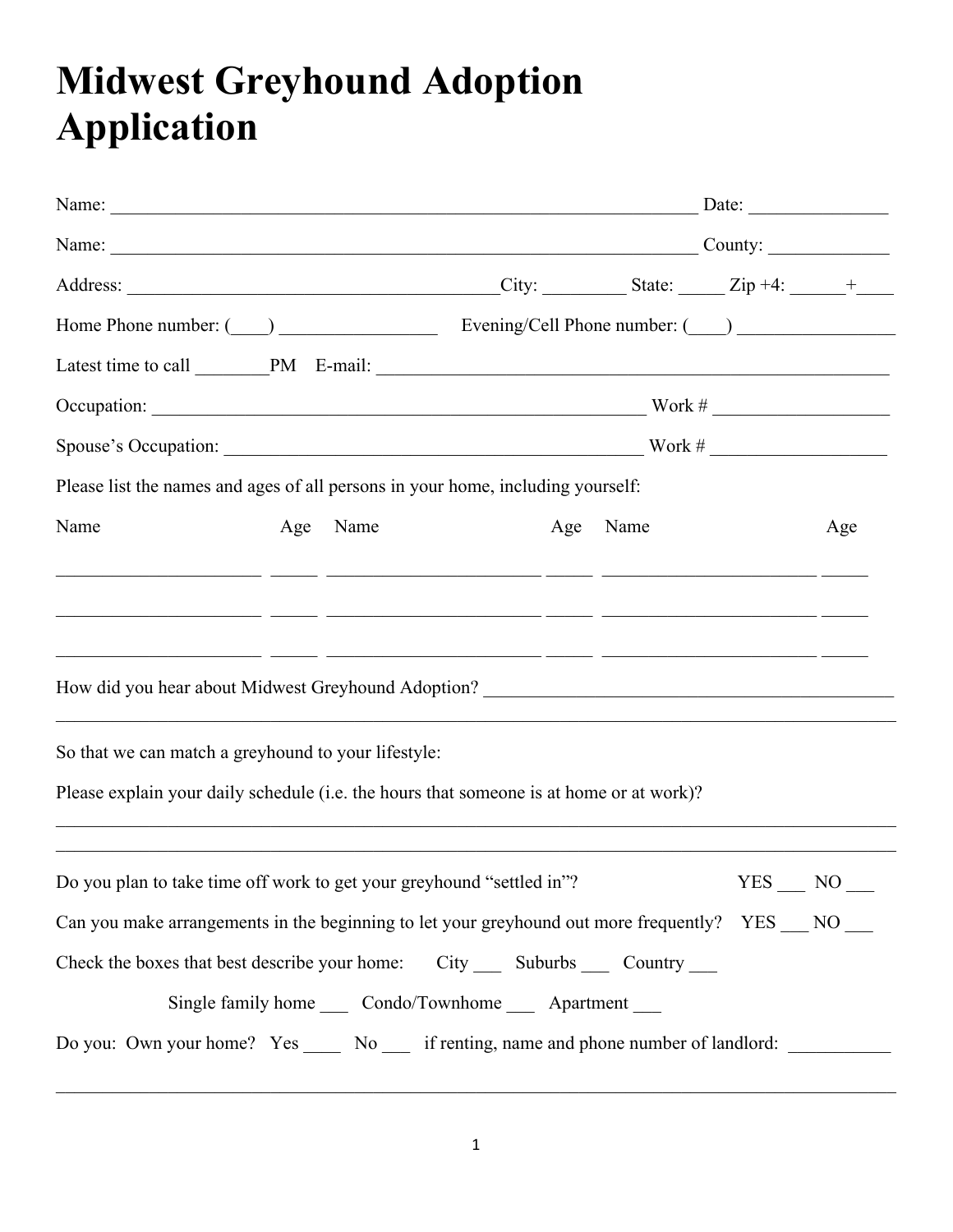# **Midwest Greyhound Adoption Application**

|                                                                                                                                        |     | Name: County: |            |     |
|----------------------------------------------------------------------------------------------------------------------------------------|-----|---------------|------------|-----|
|                                                                                                                                        |     |               |            |     |
|                                                                                                                                        |     |               |            |     |
|                                                                                                                                        |     |               |            |     |
|                                                                                                                                        |     |               |            |     |
|                                                                                                                                        |     |               |            |     |
| Please list the names and ages of all persons in your home, including yourself:                                                        |     |               |            |     |
| Name<br>Age Name                                                                                                                       | Age | Name          |            | Age |
| <u> 1999 - Jacques Alexandro (f. 1920). Ann an Carl Maria (f. 1920). Ann an t-Alexandro (f. 1920). Ann an t-Alexandro (f. 1920).</u>   |     |               |            |     |
| <u> 1990 - Johann John Stone, markin film ar yn y brenin ym y cynnwys y cynnwys y cynnwys y cynnwys y cynnwys y c</u>                  |     |               |            |     |
| <u> 2000 - 2000 - 2000 - 2000 - 2000 - 2000 - 2000 - 2000 - 2000 - 2000 - 2000 - 2000 - 2000 - 2000 - 2000 - 200</u>                   |     |               |            |     |
|                                                                                                                                        |     |               |            |     |
| So that we can match a greyhound to your lifestyle:                                                                                    |     |               |            |     |
| Please explain your daily schedule (i.e. the hours that someone is at home or at work)?                                                |     |               |            |     |
| ,我们也不能会在这里,我们的人们就会不能会在这里,我们也不能会不能会不能会不能会不能会不能会不能会。<br>第2012章 我们的人们的人们,我们的人们的人们的人们,我们的人们的人们的人们,我们的人们的人们的人们,我们的人们的人们的人们,我们的人们的人们的人们,我们的人 |     |               |            |     |
| Do you plan to take time off work to get your greyhound "settled in"?                                                                  |     |               | <b>YES</b> | NO  |
| Can you make arrangements in the beginning to let your greyhound out more frequently? YES __ NO __                                     |     |               |            |     |
| Check the boxes that best describe your home: City ______ Suburbs _______ Country _____                                                |     |               |            |     |
| Single family home ______ Condo/Townhome _______ Apartment _____                                                                       |     |               |            |     |
| Do you: Own your home? Yes _____ No ____ if renting, name and phone number of landlord: ___________                                    |     |               |            |     |
|                                                                                                                                        |     |               |            |     |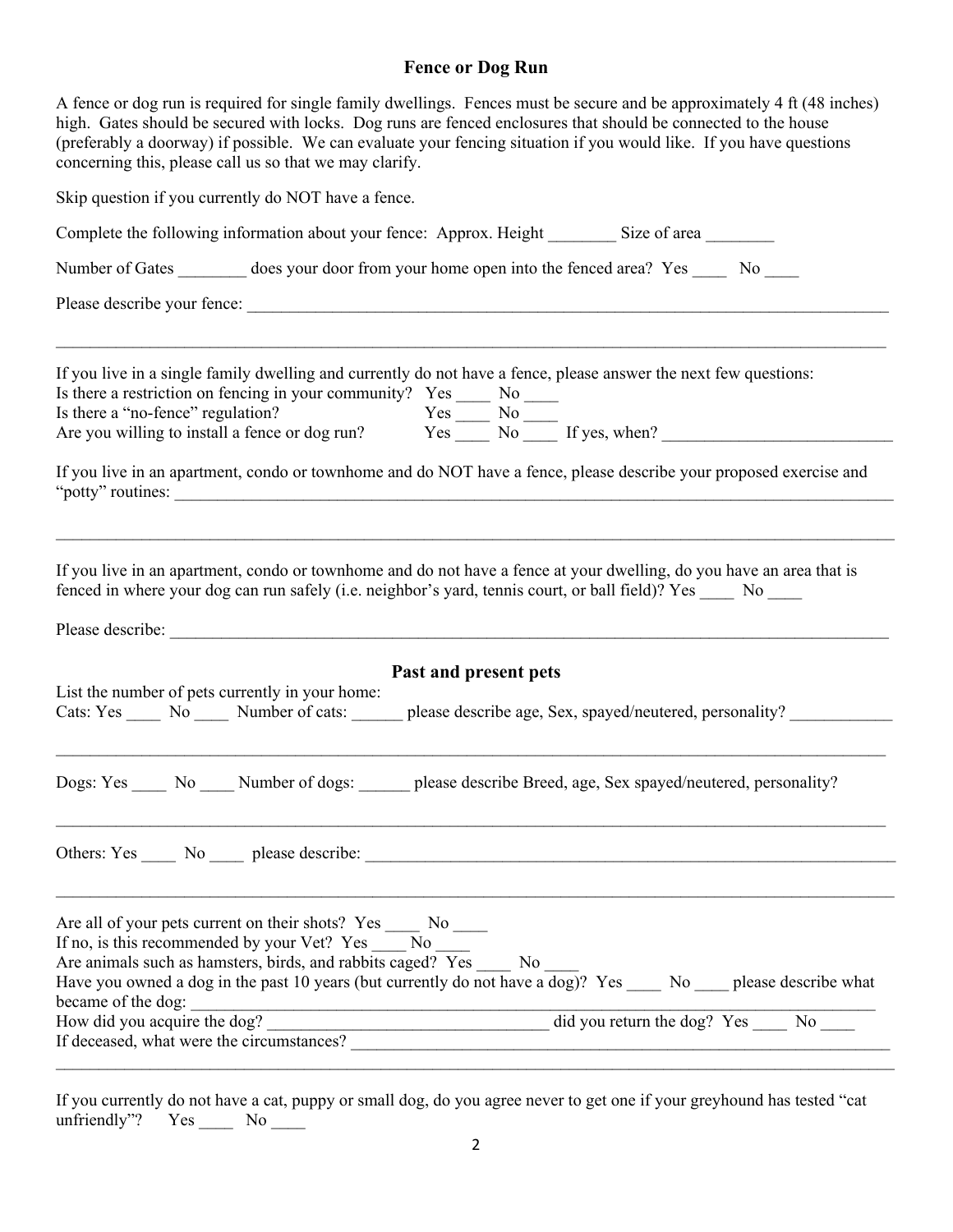## **Fence or Dog Run**

| A fence or dog run is required for single family dwellings. Fences must be secure and be approximately 4 ft (48 inches)<br>high. Gates should be secured with locks. Dog runs are fenced enclosures that should be connected to the house<br>(preferably a doorway) if possible. We can evaluate your fencing situation if you would like. If you have questions<br>concerning this, please call us so that we may clarify.                                                |
|----------------------------------------------------------------------------------------------------------------------------------------------------------------------------------------------------------------------------------------------------------------------------------------------------------------------------------------------------------------------------------------------------------------------------------------------------------------------------|
| Skip question if you currently do NOT have a fence.                                                                                                                                                                                                                                                                                                                                                                                                                        |
| Complete the following information about your fence: Approx. Height _________ Size of area ________                                                                                                                                                                                                                                                                                                                                                                        |
| Number of Gates ________ does your door from your home open into the fenced area? Yes _____ No ____                                                                                                                                                                                                                                                                                                                                                                        |
|                                                                                                                                                                                                                                                                                                                                                                                                                                                                            |
| If you live in a single family dwelling and currently do not have a fence, please answer the next few questions:<br>Is there a restriction on fencing in your community? Yes $\frac{N\sigma}{\sigma}$ No $\frac{N\sigma}{\sigma}$<br>Is there a "no-fence" regulation? Yes $\frac{N\sigma}{\sigma}$ No $\frac{N\sigma}{\sigma}$ If yes, when?                                                                                                                              |
| If you live in an apartment, condo or townhome and do NOT have a fence, please describe your proposed exercise and                                                                                                                                                                                                                                                                                                                                                         |
| If you live in an apartment, condo or townhome and do not have a fence at your dwelling, do you have an area that is<br>fenced in where your dog can run safely (i.e. neighbor's yard, tennis court, or ball field)? Yes _____ No ____<br>Past and present pets<br>List the number of pets currently in your home:<br>Cats: Yes _____ No _____ Number of cats: ______ please describe age, Sex, spayed/neutered, personality? ________                                     |
| No Number of dogs:<br>please describe Breed, age, Sex spayed/neutered, personality?<br>Dogs: Yes                                                                                                                                                                                                                                                                                                                                                                           |
|                                                                                                                                                                                                                                                                                                                                                                                                                                                                            |
| Are all of your pets current on their shots? Yes ______ No _____<br>If no, is this recommended by your Vet? Yes No<br>Are animals such as hamsters, birds, and rabbits caged? Yes No<br>Have you owned a dog in the past 10 years (but currently do not have a dog)? Yes ____ No ___ please describe what<br>became of the dog:<br>$\frac{1}{2}$ did you return the dog? Yes $\frac{1}{2}$ No<br>How did you acquire the dog?<br>If deceased, what were the circumstances? |

If you currently do not have a cat, puppy or small dog, do you agree never to get one if your greyhound has tested "cat unfriendly"? Yes  $\_\_$  No  $\_\_$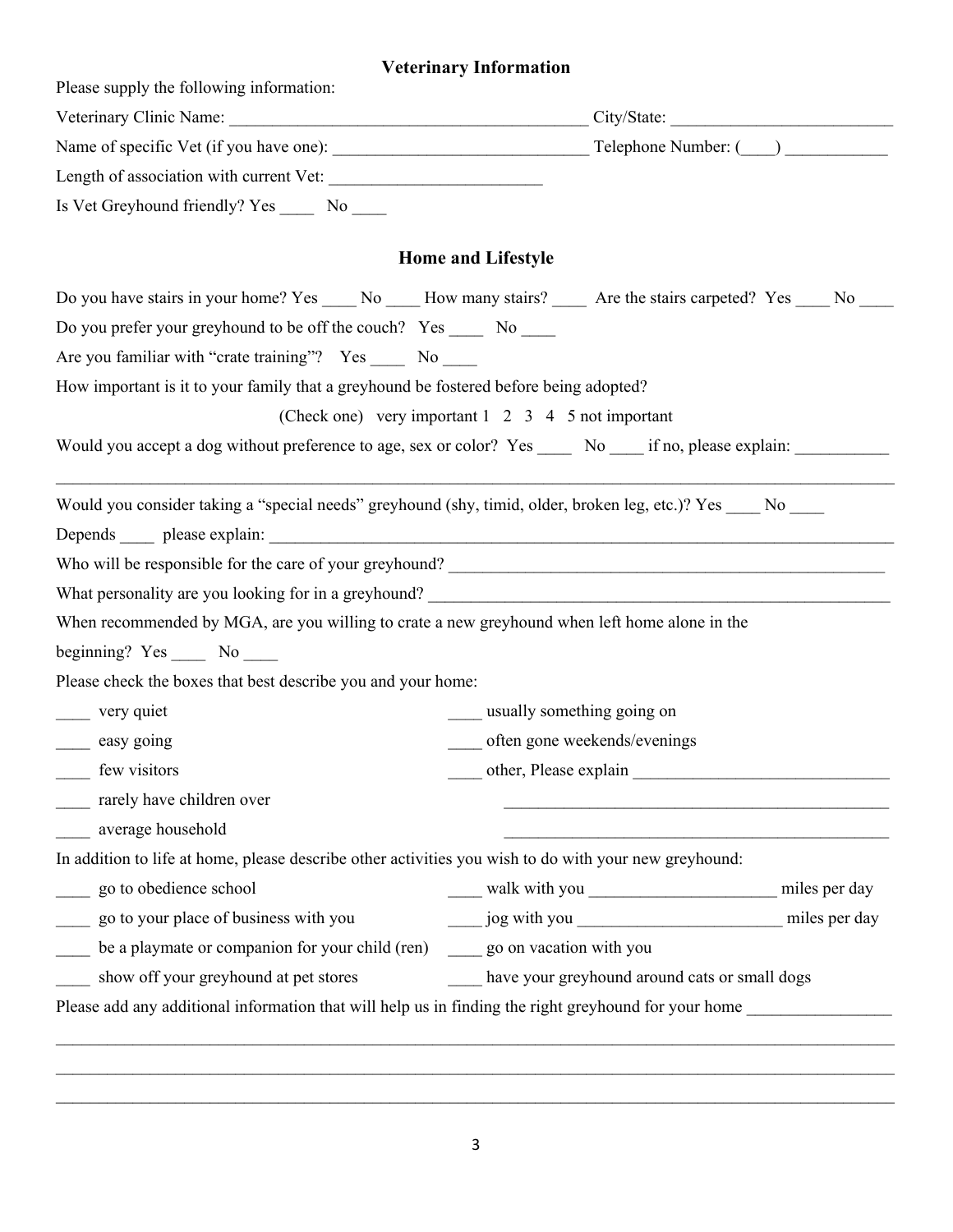# **Veterinary Information**

| Please supply the following information:                                                                      |                                                                                                                                                       |  |  |
|---------------------------------------------------------------------------------------------------------------|-------------------------------------------------------------------------------------------------------------------------------------------------------|--|--|
|                                                                                                               |                                                                                                                                                       |  |  |
|                                                                                                               |                                                                                                                                                       |  |  |
|                                                                                                               |                                                                                                                                                       |  |  |
| Is Vet Greyhound friendly? Yes ________ No ______                                                             |                                                                                                                                                       |  |  |
|                                                                                                               | <b>Home and Lifestyle</b>                                                                                                                             |  |  |
|                                                                                                               | Do you have stairs in your home? Yes ______ No ______ How many stairs? _______ Are the stairs carpeted? Yes _____ No _____                            |  |  |
| Do you prefer your greyhound to be off the couch? Yes ______ No _____                                         |                                                                                                                                                       |  |  |
| Are you familiar with "crate training"? Yes _____ No ____                                                     |                                                                                                                                                       |  |  |
| How important is it to your family that a greyhound be fostered before being adopted?                         |                                                                                                                                                       |  |  |
|                                                                                                               | (Check one) very important $1 \t2 \t3 \t4 \t5$ not important                                                                                          |  |  |
|                                                                                                               | Would you accept a dog without preference to age, sex or color? Yes _____ No ____ if no, please explain: __________                                   |  |  |
|                                                                                                               |                                                                                                                                                       |  |  |
| Would you consider taking a "special needs" greyhound (shy, timid, older, broken leg, etc.)? Yes ____ No ____ |                                                                                                                                                       |  |  |
|                                                                                                               |                                                                                                                                                       |  |  |
|                                                                                                               | Who will be responsible for the care of your greyhound?<br><u> and</u> the care of your greyhound?                                                    |  |  |
|                                                                                                               |                                                                                                                                                       |  |  |
| When recommended by MGA, are you willing to crate a new greyhound when left home alone in the                 |                                                                                                                                                       |  |  |
| beginning? $Yes$ No $\_\_\_\$                                                                                 |                                                                                                                                                       |  |  |
| Please check the boxes that best describe you and your home:                                                  |                                                                                                                                                       |  |  |
| _____ very quiet                                                                                              | usually something going on                                                                                                                            |  |  |
| ______ easy going                                                                                             | ____ often gone weekends/evenings                                                                                                                     |  |  |
| _____ few visitors                                                                                            | other, Please explain                                                                                                                                 |  |  |
| rarely have children over                                                                                     |                                                                                                                                                       |  |  |
| average household                                                                                             |                                                                                                                                                       |  |  |
| In addition to life at home, please describe other activities you wish to do with your new greyhound:         |                                                                                                                                                       |  |  |
| go to obedience school                                                                                        |                                                                                                                                                       |  |  |
| go to your place of business with you                                                                         |                                                                                                                                                       |  |  |
| be a playmate or companion for your child (ren) ______ go on vacation with you<br>$\frac{1}{1}$               |                                                                                                                                                       |  |  |
|                                                                                                               |                                                                                                                                                       |  |  |
| show off your greyhound at pet stores                                                                         | have your greyhound around cats or small dogs<br>Please add any additional information that will help us in finding the right greyhound for your home |  |  |